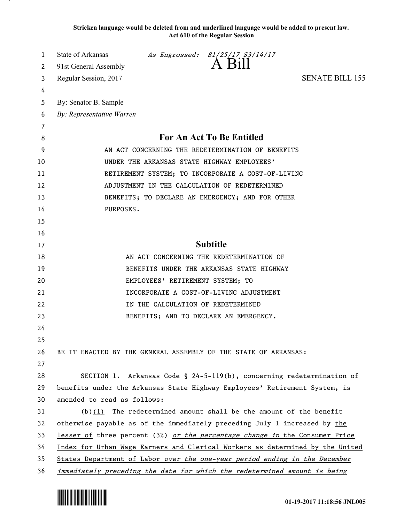**Stricken language would be deleted from and underlined language would be added to present law. Act 610 of the Regular Session**

| 1  | State of Arkansas<br><i>As Engrossed: S1/25/17 S3/14/17</i>                   |
|----|-------------------------------------------------------------------------------|
| 2  | A Bill<br>91st General Assembly                                               |
| 3  | <b>SENATE BILL 155</b><br>Regular Session, 2017                               |
| 4  |                                                                               |
| 5  | By: Senator B. Sample                                                         |
| 6  | By: Representative Warren                                                     |
| 7  |                                                                               |
| 8  | <b>For An Act To Be Entitled</b>                                              |
| 9  | AN ACT CONCERNING THE REDETERMINATION OF BENEFITS                             |
| 10 | UNDER THE ARKANSAS STATE HIGHWAY EMPLOYEES'                                   |
| 11 | RETIREMENT SYSTEM; TO INCORPORATE A COST-OF-LIVING                            |
| 12 | ADJUSTMENT IN THE CALCULATION OF REDETERMINED                                 |
| 13 | BENEFITS; TO DECLARE AN EMERGENCY; AND FOR OTHER                              |
| 14 | PURPOSES.                                                                     |
| 15 |                                                                               |
| 16 |                                                                               |
| 17 | <b>Subtitle</b>                                                               |
| 18 | AN ACT CONCERNING THE REDETERMINATION OF                                      |
| 19 | BENEFITS UNDER THE ARKANSAS STATE HIGHWAY                                     |
| 20 | EMPLOYEES' RETIREMENT SYSTEM; TO                                              |
| 21 | INCORPORATE A COST-OF-LIVING ADJUSTMENT                                       |
| 22 | IN THE CALCULATION OF REDETERMINED                                            |
| 23 | BENEFITS; AND TO DECLARE AN EMERGENCY.                                        |
| 24 |                                                                               |
| 25 |                                                                               |
| 26 | BE IT ENACTED BY THE GENERAL ASSEMBLY OF THE STATE OF ARKANSAS:               |
| 27 |                                                                               |
| 28 | SECTION 1. Arkansas Code § 24-5-119(b), concerning redetermination of         |
| 29 | benefits under the Arkansas State Highway Employees' Retirement System, is    |
| 30 | amended to read as follows:                                                   |
| 31 | $(b)(1)$ The redetermined amount shall be the amount of the benefit           |
| 32 | otherwise payable as of the immediately preceding July 1 increased by the     |
| 33 | lesser of three percent (3%) or the percentage change in the Consumer Price   |
| 34 | Index for Urban Wage Earners and Clerical Workers as determined by the United |
| 35 | States Department of Labor over the one-year period ending in the December    |
| 36 | immediately preceding the date for which the redetermined amount is being     |